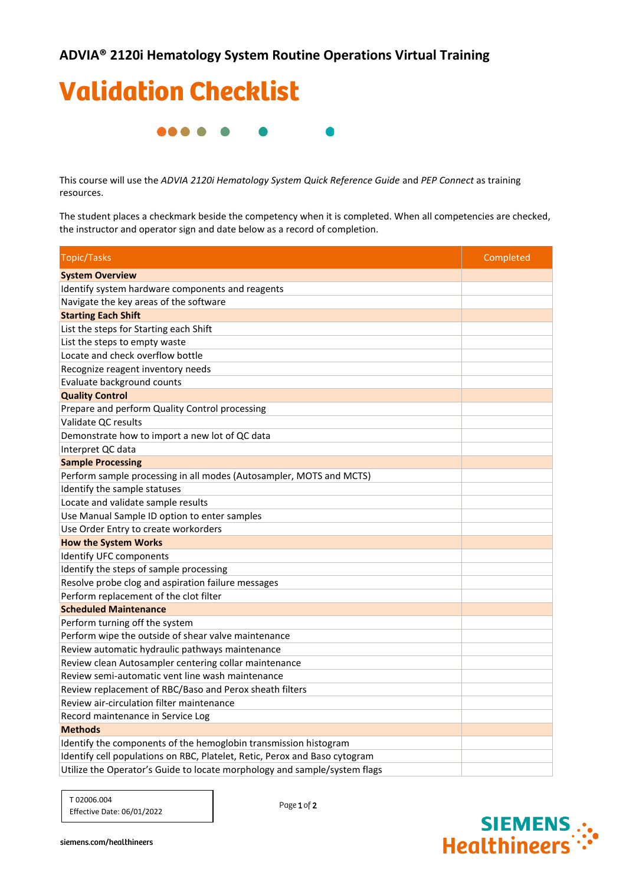

This course will use the *ADVIA 2120i Hematology System Quick Reference Guide* and *PEP Connect* as training resources.

The student places a checkmark beside the competency when it is completed. When all competencies are checked, the instructor and operator sign and date below as a record of completion.

| <b>Topic/Tasks</b>                                                         | Completed |
|----------------------------------------------------------------------------|-----------|
| <b>System Overview</b>                                                     |           |
| Identify system hardware components and reagents                           |           |
| Navigate the key areas of the software                                     |           |
| <b>Starting Each Shift</b>                                                 |           |
| List the steps for Starting each Shift                                     |           |
| List the steps to empty waste                                              |           |
| Locate and check overflow bottle                                           |           |
| Recognize reagent inventory needs                                          |           |
| Evaluate background counts                                                 |           |
| <b>Quality Control</b>                                                     |           |
| Prepare and perform Quality Control processing                             |           |
| Validate QC results                                                        |           |
| Demonstrate how to import a new lot of QC data                             |           |
| Interpret QC data                                                          |           |
| <b>Sample Processing</b>                                                   |           |
| Perform sample processing in all modes (Autosampler, MOTS and MCTS)        |           |
| Identify the sample statuses                                               |           |
| Locate and validate sample results                                         |           |
| Use Manual Sample ID option to enter samples                               |           |
| Use Order Entry to create workorders                                       |           |
| <b>How the System Works</b>                                                |           |
| Identify UFC components                                                    |           |
| Identify the steps of sample processing                                    |           |
| Resolve probe clog and aspiration failure messages                         |           |
| Perform replacement of the clot filter                                     |           |
| <b>Scheduled Maintenance</b>                                               |           |
| Perform turning off the system                                             |           |
| Perform wipe the outside of shear valve maintenance                        |           |
| Review automatic hydraulic pathways maintenance                            |           |
| Review clean Autosampler centering collar maintenance                      |           |
| Review semi-automatic vent line wash maintenance                           |           |
| Review replacement of RBC/Baso and Perox sheath filters                    |           |
| Review air-circulation filter maintenance                                  |           |
| Record maintenance in Service Log                                          |           |
| <b>Methods</b>                                                             |           |
| Identify the components of the hemoglobin transmission histogram           |           |
| Identify cell populations on RBC, Platelet, Retic, Perox and Baso cytogram |           |
| Utilize the Operator's Guide to locate morphology and sample/system flags  |           |

T 02006.004 Effective Date: 06/01/2022

Page 1 of 2